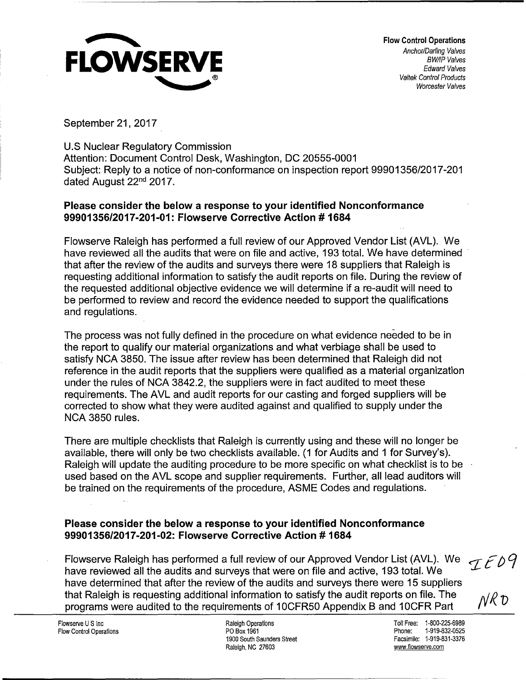

Flow Control Operations Anchor/Darling Valves BW/IP Valves Edward Valves Valtek Control Products Worcester Valves

September 21, 2017

U.S Nuclear Regulatory Commission Attention: Document Control Desk, Washington, DC 20555-0001 Subject: Reply to a notice of non-conformance on inspection report 99901356/2017-201 dated August 22nd 2017.

## **Please consider the below a response to your identified Nonconformance 99901356/2017-201-01: Flowserve Corrective Action# 1684**

Flowserve Raleigh has performed a full review of our Approved Vendor List (AVL). We have reviewed all the audits that were on file and active, 193 total. We have determined that after the review of the audits and surveys there were 18 suppliers that Raleigh is requesting additional information to satisfy the audit reports on file. During the review of the requested additional objective evidence we will determine if a re-audit will need to be performed to review and record the evidence needed to support the qualifications and regulations.

The process was not fully defined in the procedure on what evidence needed to be in the report to qualify our material organizations and what verbiage shall be used to satisfy NCA 3850. The issue after review has been determined that Raleigh did not reference in the audit reports that the suppliers were qualified as a material organization under the rules of NCA 3842.2, the suppliers were in fact audited to meet these requirements. The AVL and audit reports for our casting and forged suppliers will be corrected to show what they were audited against and qualified to supply under the NCA 3850 rules.

There are multiple checklists that Raleigh is currently using and these will no longer be available, there will only be two checklists available. (1 for Audits and 1 for Survey's). Raleigh will update the auditing procedure to be more specific on what checklist is to be used based on the AVL scope and supplier requirements. Further, all lead auditors will be trained on the requirements of the procedure, ASME Codes and regulations.

## **Please consider the below a response to your identified Nonconformance 99901356/2017-201-02: Flowserve Corrective Action# 1684**

Flowserve Raleigh has performed a full review of our Approved Vendor List (AVL). We IED9 have reviewed all the audits and surveys that were on file and active, 193 total. We have determined that after the review of the audits and surveys there were 15 suppliers that Raleigh is requesting additional information to satisfy the audit reports on file. The programs were audited to the requirements of 1 OCFR50 Appendix 8 and 1 OCFR Part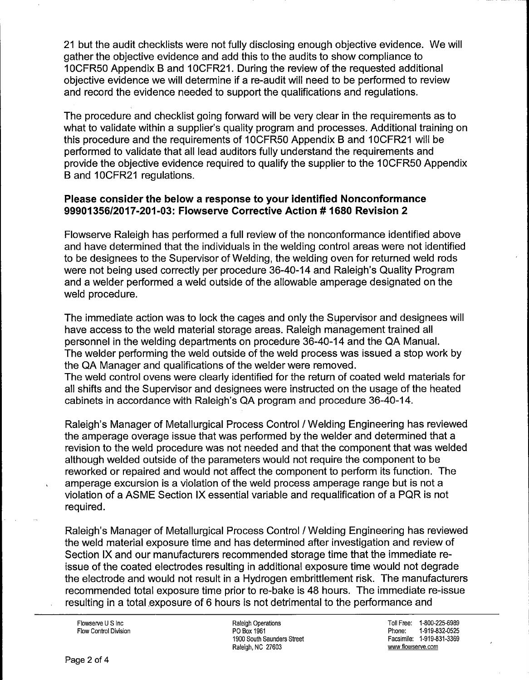21 but the audit checklists were not fully disclosing enough objective evidence. We will gather the objective evidence and add this to the audits to show compliance to 1 OCFR50 Appendix B and 1 OCFR21. During the review of the requested additional objective evidence we will determine if a re-audit will need to be performed to review and record the evidence needed to support the qualifications and regulations.

The procedure and checklist going forward will be very clear in the requirements as to what to validate within a supplier's quality program and processes. Additional training on this procedure and the requirements of 10CFR50 Appendix B and 10CFR21 will be performed to validate that all lead auditors fully understand the requirements and provide the objective evidence required to qualify the supplier to the 1 OCFR50 Appendix B and 10CFR21 regulations.

## **Please consider the below a response to your identified Nonconformance 99901356/2017-201-03: Flowserve Corrective Action# 1680 Revision 2**

Flowserve Raleigh has performed a full review of the nonconformance identified above and have determined that the individuals in the welding control areas were not identified to be designees to the Supervisor of Welding, the welding oven for returned weld rods were not being used correctly per procedure 36-40-14 and Raleigh's Quality Program and a welder performed a weld outside of the allowable amperage designated on the weld procedure.

The immediate action was to lock the cages and only the Supervisor and designees will have access to the weld material storage areas. Raleigh management trained all personnel in the welding departments on procedure 36-40-14 and the QA Manual. The welder performing the weld outside of the weld process was issued a stop work by the QA Manager and qualifications of the welder were removed. The weld control ovens were clearly identified for the return of coated weld materials for all shifts and the Supervisor and designees were instructed on the usage of the heated cabinets in accordance with Raleigh's QA program and procedure 36-40-14.

Raleigh's Manager of Metallurgical Process Control I Welding Engineering has reviewed the amperage overage issue that was performed by the welder and determined that a revision to the weld procedure was not needed and that the component that was welded although welded outside of the parameters would not require the component to be reworked or repaired and would not affect the component to perform its function. The amperage excursion is a violation of the weld process amperage range but is not a violation of a ASME Section IX essential variable and requalification of a PQR is not required.

Raleigh's Manager of Metallurgical Process Control I Welding Engineering has reviewed the weld material exposure time and has determined after investigation and review of Section IX and our manufacturers recommended storage time that the immediate reissue of the coated electrodes resulting in additional exposure time would not degrade the electrode and would not result in a Hydrogen embrittlement risk. The manufacturers recommended total exposure time prior to re-bake is 48 hours. The immediate re-issue resulting in a total exposure of 6 hours is not detrimental to the performance and

Flowserve U S Inc Flow Control Division

Raleigh Operations PO Box 1961 1900 South Saunders Street Raleigh, NC 27603

Toll Free: 1-800-225-6989 Phone: 1-919-832-0525 Facsimile: 1-919-831-3369 www.flowserve.com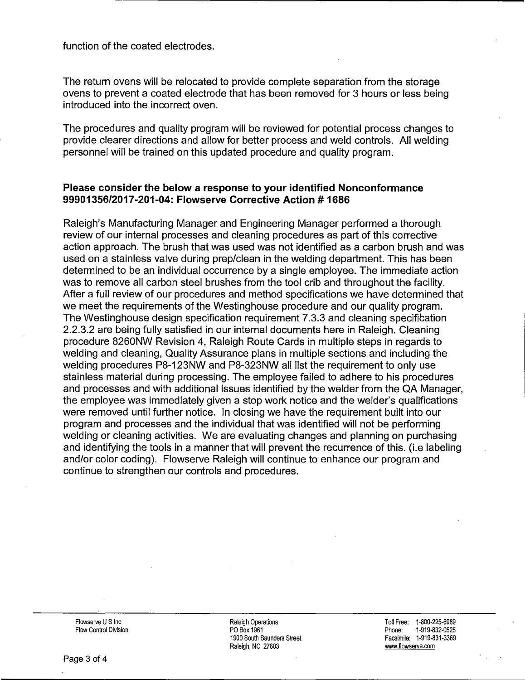function of the coated electrodes.

The return ovens will be relocated to provide complete separation from the storage ovens to prevent a coated electrode that has been removed for 3 hours or less being introduced into the incorrect oven.

The procedures and quality program will be reviewed for potential process changes to provide clearer directions and allow for better process and weld controls. All welding personnel will be trained on this updated procedure and quality program.

## **Please consider the below a response to your identified Nonconformance 99901356/2017-201-04: Flowserve Corrective Action# 1686**

Raleigh's Manufacturing Manager and Engineering Manager performed a thorough review of our internal processes and cleaning procedures as part of this corrective action approach. The brush that was used was not identified as a carbon brush and was used on a stainless valve during prep/clean in the welding department. This has been determined to be an individual occurrence by a single employee. The immediate action was to remove all carbon steel brushes from the tool crib and throughout the facility. After a full review of our procedures and method specifications we have determined that we meet the requirements of the Westinghouse procedure and our quality program. The Westinghouse design specification requirement 7.3.3 and cleaning specification 2.2.3.2 are being fully satisfied in our internal documents here in Raleigh. Cleaning procedure 8260NW Revision 4, Raleigh Route Cards in multiple steps in regards to welding and cleaning, Quality Assurance plans in multiple sections. and including the welding procedures P8-123NW and P8-323NW all list the requirement to only use stainless material during processing. The employee failed to adhere to his procedures and processes and with additional issues identified by the welder from the QA Manager, the employee was immediately given a stop work notice and the welder's qualifications were removed until further notice. In closing we have the requirement built into our program and processes and the individual that was identified will not be performing welding or cleaning activities. We are evaluating changes and planning on purchasing and identifying the tools in a manner that will prevent the recurrence of this. (i.e labeling and/or color coding). Flowserve Raleigh will continue to enhance our program and continue to strengthen our controls and procedures.

Flowserve U S Inc Flow Control Division Raleigh Operations PO Box 1961 1900 South Saunders Street Raleigh, NC 27603

Toll Free: 1-800-225-6989 Phone: 1-919-832-0525 Facsimile: 1-919-831-3369 www.flowserve.com